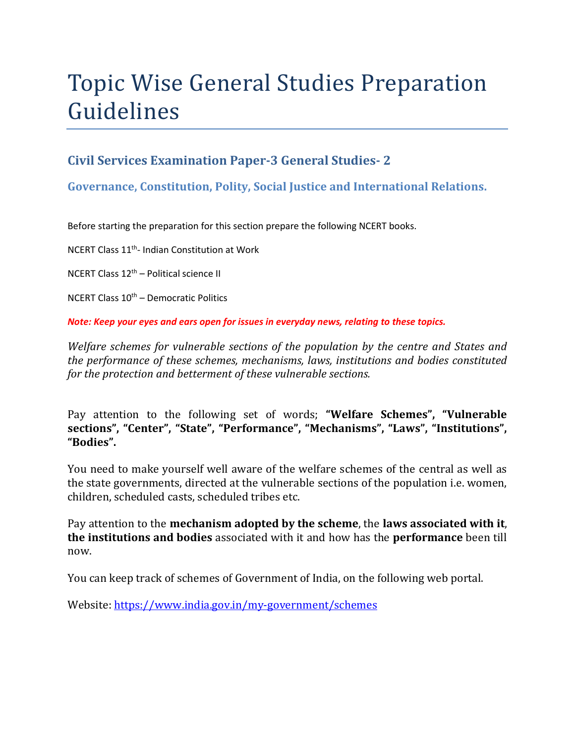# Topic Wise General Studies Preparation Guidelines

### **Civil Services Examination Paper-3 General Studies- 2**

**Governance, Constitution, Polity, Social Justice and International Relations.** 

Before starting the preparation for this section prepare the following NCERT books.

NCERT Class 11th- Indian Constitution at Work

NCERT Class 12th – Political science II

NCERT Class  $10^{th}$  – Democratic Politics

*Note: Keep your eyes and ears open for issues in everyday news, relating to these topics.* 

*Welfare schemes for vulnerable sections of the population by the centre and States and the performance of these schemes, mechanisms, laws, institutions and bodies constituted for the protection and betterment of these vulnerable sections.* 

Pay attention to the following set of words; **"Welfare Schemes", "Vulnerable sections", "Center", "State", "Performance", "Mechanisms", "Laws", "Institutions", "Bodies".**

You need to make yourself well aware of the welfare schemes of the central as well as the state governments, directed at the vulnerable sections of the population i.e. women, children, scheduled casts, scheduled tribes etc.

Pay attention to the **mechanism adopted by the scheme**, the **laws associated with it**, **the institutions and bodies** associated with it and how has the **performance** been till now.

You can keep track of schemes of Government of India, on the following web portal.

Website: https://www.india.gov.in/my-government/schemes